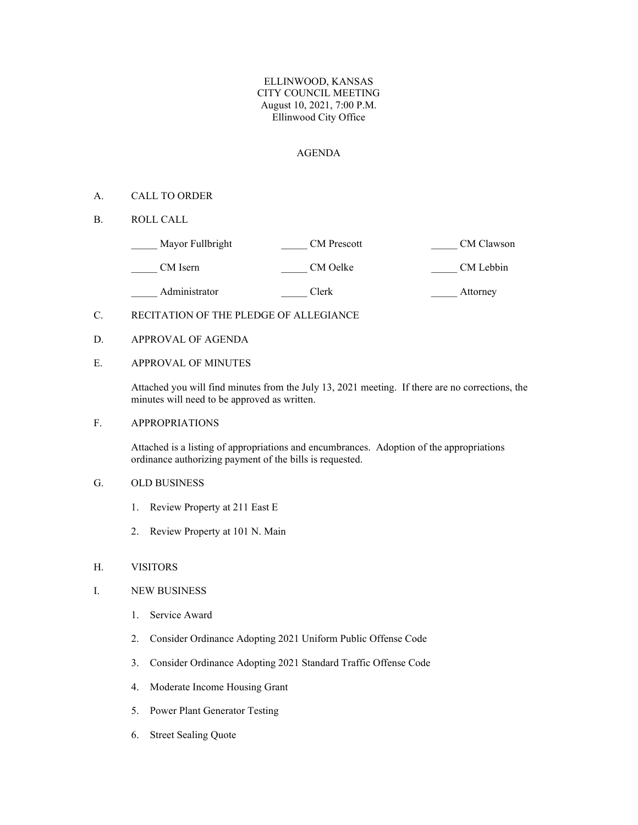## ELLINWOOD, KANSAS CITY COUNCIL MEETING August 10, 2021, 7:00 P.M. Ellinwood City Office

## AGENDA

## A. CALL TO ORDER

B. ROLL CALL

| Mayor Fullbright | <b>CM</b> Prescott | CM Clawson |
|------------------|--------------------|------------|
| CM Isern         | CM Oelke           | CM Lebbin  |
| Administrator    | Clerk              | Attorney   |

# C. RECITATION OF THE PLEDGE OF ALLEGIANCE

D. APPROVAL OF AGENDA

## E. APPROVAL OF MINUTES

Attached you will find minutes from the July 13, 2021 meeting. If there are no corrections, the minutes will need to be approved as written.

## F. APPROPRIATIONS

Attached is a listing of appropriations and encumbrances. Adoption of the appropriations ordinance authorizing payment of the bills is requested.

# G. OLD BUSINESS

- 1. Review Property at 211 East E
- 2. Review Property at 101 N. Main

#### H. VISITORS

#### I. NEW BUSINESS

- 1. Service Award
- 2. Consider Ordinance Adopting 2021 Uniform Public Offense Code
- 3. Consider Ordinance Adopting 2021 Standard Traffic Offense Code
- 4. Moderate Income Housing Grant
- 5. Power Plant Generator Testing
- 6. Street Sealing Quote